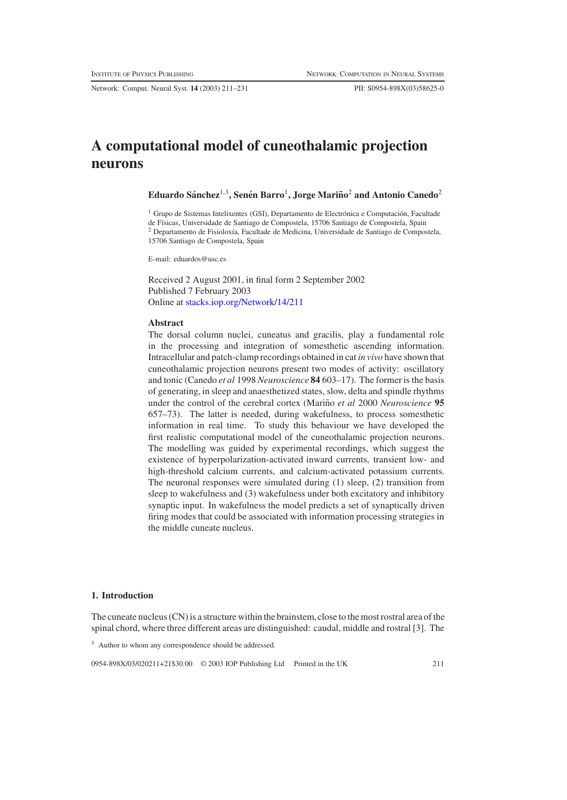# **A computational model of cuneothalamic projection neurons**

**Eduardo Sanchez ´** <sup>1</sup>,3**, Senen Barro ´** <sup>1</sup>**, Jorge Marino˜** <sup>2</sup> **and Antonio Canedo**<sup>2</sup>

<sup>1</sup> Grupo de Sistemas Intelixentes (GSI), Departamento de Electrónica e Computación, Facultade de Físicas, Universidade de Santiago de Compostela, 15706 Santiago de Compostela, Spain <sup>2</sup> Departamento de Fisiolox´ıa, Facultade de Medicina, Universidade de Santiago de Compostela, 15706 Santiago de Compostela, Spain

E-mail: eduardos@usc.es

Received 2 August 2001, in final form 2 September 2002 Published 7 February 2003 Online at [stacks.iop.org/Network/14/211](http://stacks.iop.org/Network/14/211)

# **Abstract**

The dorsal column nuclei, cuneatus and gracilis, play a fundamental role in the processing and integration of somesthetic ascending information. Intracellular and patch-clamp recordings obtained in cat *in vivo* have shown that cuneothalamic projection neurons present two modes of activity: oscillatory and tonic (Canedo *et al* 1998 *Neuroscience* **84** 603–17). The former is the basis of generating, in sleep and anaesthetized states, slow, delta and spindle rhythms under the control of the cerebral cortex (Mariño *et al* 2000 *Neuroscience* 95 657–73). The latter is needed, during wakefulness, to process somesthetic information in real time. To study this behaviour we have developed the first realistic computational model of the cuneothalamic projection neurons. The modelling was guided by experimental recordings, which suggest the existence of hyperpolarization-activated inward currents, transient low- and high-threshold calcium currents, and calcium-activated potassium currents. The neuronal responses were simulated during (1) sleep, (2) transition from sleep to wakefulness and (3) wakefulness under both excitatory and inhibitory synaptic input. In wakefulness the model predicts a set of synaptically driven firing modes that could be associated with information processing strategies in the middle cuneate nucleus.

# **1. Introduction**

The cuneate nucleus (CN) is a structure within the brainstem,close to the most rostral area of the spinal chord, where three different areas are distinguished: caudal, middle and rostral [3]. The

0954-898X/03/020211+21\$30.00 © 2003 IOP Publishing Ltd Printed in the UK 211

<sup>3</sup> Author to whom any correspondence should be addressed.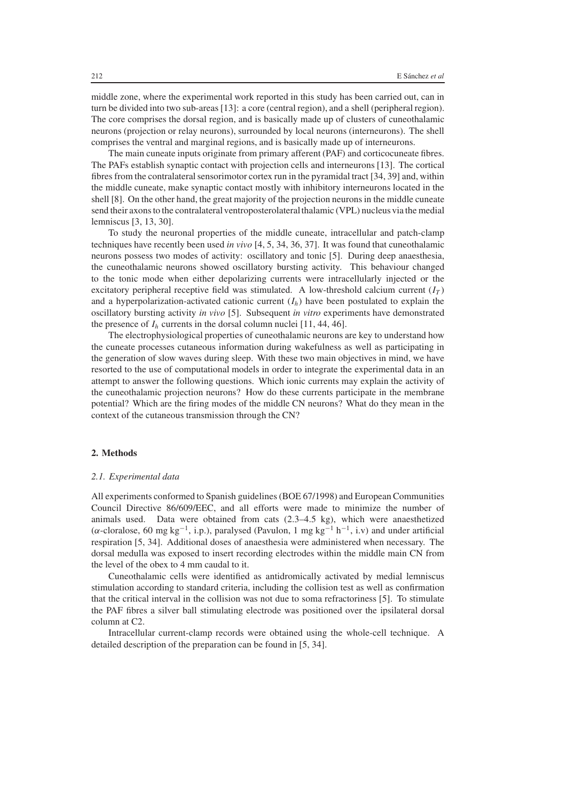middle zone, where the experimental work reported in this study has been carried out, can in turn be divided into two sub-areas [13]: a core (central region), and a shell (peripheral region). The core comprises the dorsal region, and is basically made up of clusters of cuneothalamic neurons (projection or relay neurons), surrounded by local neurons (interneurons). The shell comprises the ventral and marginal regions, and is basically made up of interneurons.

The main cuneate inputs originate from primary afferent (PAF) and corticocuneate fibres. The PAFs establish synaptic contact with projection cells and interneurons [13]. The cortical fibres from the contralateral sensorimotor cortex run in the pyramidal tract [34, 39] and, within the middle cuneate, make synaptic contact mostly with inhibitory interneurons located in the shell [8]. On the other hand, the great majority of the projection neurons in the middle cuneate send their axons to the contralateral ventroposterolateralthalamic (VPL) nucleus via the medial lemniscus [3, 13, 30].

To study the neuronal properties of the middle cuneate, intracellular and patch-clamp techniques have recently been used *in vivo* [4, 5, 34, 36, 37]. It was found that cuneothalamic neurons possess two modes of activity: oscillatory and tonic [5]. During deep anaesthesia, the cuneothalamic neurons showed oscillatory bursting activity. This behaviour changed to the tonic mode when either depolarizing currents were intracellularly injected or the excitatory peripheral receptive field was stimulated. A low-threshold calcium current  $(I_T)$ and a hyperpolarization-activated cationic current  $(I_h)$  have been postulated to explain the oscillatory bursting activity *in vivo* [5]. Subsequent *in vitro* experiments have demonstrated the presence of  $I_h$  currents in the dorsal column nuclei [11, 44, 46].

The electrophysiological properties of cuneothalamic neurons are key to understand how the cuneate processes cutaneous information during wakefulness as well as participating in the generation of slow waves during sleep. With these two main objectives in mind, we have resorted to the use of computational models in order to integrate the experimental data in an attempt to answer the following questions. Which ionic currents may explain the activity of the cuneothalamic projection neurons? How do these currents participate in the membrane potential? Which are the firing modes of the middle CN neurons? What do they mean in the context of the cutaneous transmission through the CN?

## **2. Methods**

## *2.1. Experimental data*

All experiments conformed to Spanish guidelines (BOE 67/1998) and European Communities Council Directive 86/609/EEC, and all efforts were made to minimize the number of animals used. Data were obtained from cats (2.3–4.5 kg), which were anaesthetized ( $\alpha$ -cloralose, 60 mg kg<sup>-1</sup>, i.p.), paralysed (Pavulon, 1 mg kg<sup>-1</sup> h<sup>-1</sup>, i.v) and under artificial respiration [5, 34]. Additional doses of anaesthesia were administered when necessary. The dorsal medulla was exposed to insert recording electrodes within the middle main CN from the level of the obex to 4 mm caudal to it.

Cuneothalamic cells were identified as antidromically activated by medial lemniscus stimulation according to standard criteria, including the collision test as well as confirmation that the critical interval in the collision was not due to soma refractoriness [5]. To stimulate the PAF fibres a silver ball stimulating electrode was positioned over the ipsilateral dorsal column at C2.

Intracellular current-clamp records were obtained using the whole-cell technique. A detailed description of the preparation can be found in [5, 34].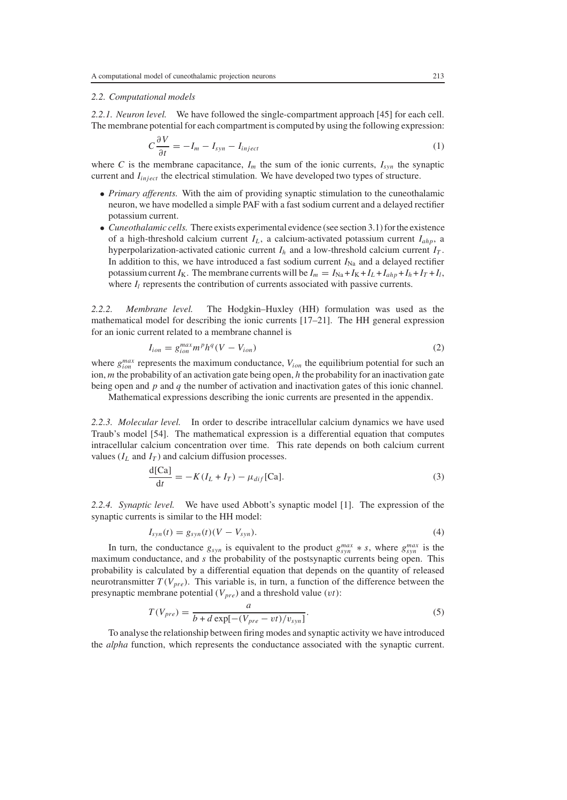# *2.2. Computational models*

*2.2.1. Neuron level.* We have followed the single-compartment approach [45] for each cell. The membrane potential for each compartment is computed by using the following expression:

$$
C\frac{\partial V}{\partial t} = -I_m - I_{syn} - I_{inject}
$$
 (1)

where *C* is the membrane capacitance,  $I_m$  the sum of the ionic currents,  $I_{syn}$  the synaptic current and *Iinject* the electrical stimulation. We have developed two types of structure.

- *Primary afferents.* With the aim of providing synaptic stimulation to the cuneothalamic neuron, we have modelled a simple PAF with a fast sodium current and a delayed rectifier potassium current.
- *Cuneothalamic cells.* There exists experimental evidence (see section 3.1) for the existence of a high-threshold calcium current *IL* , a calcium-activated potassium current *Iahp*, a hyperpolarization-activated cationic current  $I_h$  and a low-threshold calcium current  $I_T$ . In addition to this, we have introduced a fast sodium current  $I_{\text{Na}}$  and a delayed rectifier potassium current  $I_K$ . The membrane currents will be  $I_m = I_{Na} + I_K + I_L + I_{ahp} + I_h + I_T + I_l$ , where  $I_l$  represents the contribution of currents associated with passive currents.

*2.2.2. Membrane level.* The Hodgkin–Huxley (HH) formulation was used as the mathematical model for describing the ionic currents [17–21]. The HH general expression for an ionic current related to a membrane channel is

$$
I_{ion} = g_{ion}^{max} m^p h^q (V - V_{ion})
$$
\n<sup>(2)</sup>

where  $g_{ion}^{max}$  represents the maximum conductance,  $V_{ion}$  the equilibrium potential for such an ion, *m* the probability of an activation gate being open, *h* the probability for an inactivation gate being open and *p* and *q* the number of activation and inactivation gates of this ionic channel.

Mathematical expressions describing the ionic currents are presented in the appendix.

*2.2.3. Molecular level.* In order to describe intracellular calcium dynamics we have used Traub's model [54]. The mathematical expression is a differential equation that computes intracellular calcium concentration over time. This rate depends on both calcium current values  $(I_L$  and  $I_T$ ) and calcium diffusion processes.

$$
\frac{\mathrm{d}[Ca]}{\mathrm{d}t} = -K(I_L + I_T) - \mu_{dif}^{\dagger}[Ca].\tag{3}
$$

*2.2.4. Synaptic level.* We have used Abbott's synaptic model [1]. The expression of the synaptic currents is similar to the HH model:

$$
I_{syn}(t) = g_{syn}(t)(V - V_{syn}).
$$
\n(4)

In turn, the conductance  $g_{syn}$  is equivalent to the product  $g_{syn}^{max} * s$ , where  $g_{syn}^{max}$  is the maximum conductance, and *s* the probability of the postsynaptic currents being open. This probability is calculated by a differential equation that depends on the quantity of released neurotransmitter  $T(V_{pre})$ . This variable is, in turn, a function of the difference between the presynaptic membrane potential  $(V_{pre})$  and a threshold value  $(vt)$ :

$$
T(V_{pre}) = \frac{a}{b + d \exp[-(V_{pre} - vt)/v_{syn}]}.
$$
\n
$$
(5)
$$

To analyse the relationship between firing modes and synaptic activity we have introduced the *alpha* function, which represents the conductance associated with the synaptic current.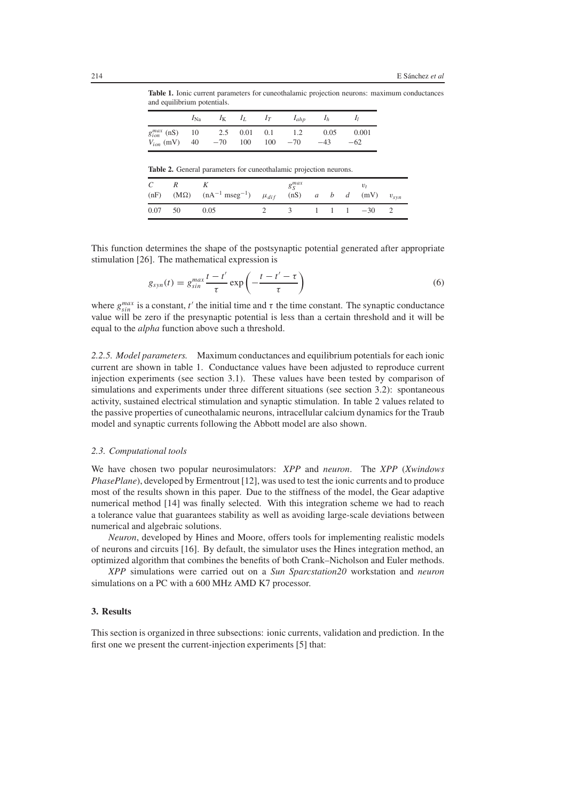**Table 1.** Ionic current parameters for cuneothalamic projection neurons: maximum conductances and equilibrium potentials.

|                      | $I_{\rm Na}$ | $I_{\rm K}$ | $I_L$ | $I_T$ | $I_{ahp}$ | $I_h$ |       |
|----------------------|--------------|-------------|-------|-------|-----------|-------|-------|
| $g_{ion}^{max}$ (nS) | - 10         | 2.5 0.01    |       | 0.1   | 1.2       | 0.05  | 0.001 |
| $V_{ion}$ (mV) 40    |              | $-70$ 100   |       | 100   | $-70$     | $-43$ | $-62$ |

**Table 2.** General parameters for cuneothalamic projection neurons.

| C       |                                                                                  | $g_S^{max}$ |  | $v_{t}$                       |  |
|---------|----------------------------------------------------------------------------------|-------------|--|-------------------------------|--|
|         | (nF) $(M\Omega)$ $(nA^{-1} mseg^{-1})$ $\mu_{dif}$ $(nS)$ a b d $(mV)$ $v_{syn}$ |             |  |                               |  |
| 0.07 50 | 0.05                                                                             | $\sim$ 3    |  | $1 \quad 1 \quad 1 \quad -30$ |  |

This function determines the shape of the postsynaptic potential generated after appropriate stimulation [26]. The mathematical expression is

$$
g_{syn}(t) = g_{sin}^{max} \frac{t - t'}{\tau} \exp\left(-\frac{t - t' - \tau}{\tau}\right)
$$
(6)

where  $g_{\sin}^{max}$  is a constant, *t'* the initial time and  $\tau$  the time constant. The synaptic conductance value will be zero if the presynaptic potential is less than a certain threshold and it will be equal to the *alpha* function above such a threshold.

*2.2.5. Model parameters.* Maximum conductances and equilibrium potentials for each ionic current are shown in table 1. Conductance values have been adjusted to reproduce current injection experiments (see section 3.1). These values have been tested by comparison of simulations and experiments under three different situations (see section 3.2): spontaneous activity, sustained electrical stimulation and synaptic stimulation. In table 2 values related to the passive properties of cuneothalamic neurons, intracellular calcium dynamics for the Traub model and synaptic currents following the Abbott model are also shown.

# *2.3. Computational tools*

We have chosen two popular neurosimulators: *XPP* and *neuron*. The *XPP* (*Xwindows PhasePlane*), developed by Ermentrout [12], was used to test the ionic currents and to produce most of the results shown in this paper. Due to the stiffness of the model, the Gear adaptive numerical method [14] was finally selected. With this integration scheme we had to reach a tolerance value that guarantees stability as well as avoiding large-scale deviations between numerical and algebraic solutions.

*Neuron*, developed by Hines and Moore, offers tools for implementing realistic models of neurons and circuits [16]. By default, the simulator uses the Hines integration method, an optimized algorithm that combines the benefits of both Crank–Nicholson and Euler methods.

*XPP* simulations were carried out on a *Sun Sparcstation20* workstation and *neuron* simulations on a PC with a 600 MHz AMD K7 processor.

# **3. Results**

This section is organized in three subsections: ionic currents, validation and prediction. In the first one we present the current-injection experiments [5] that: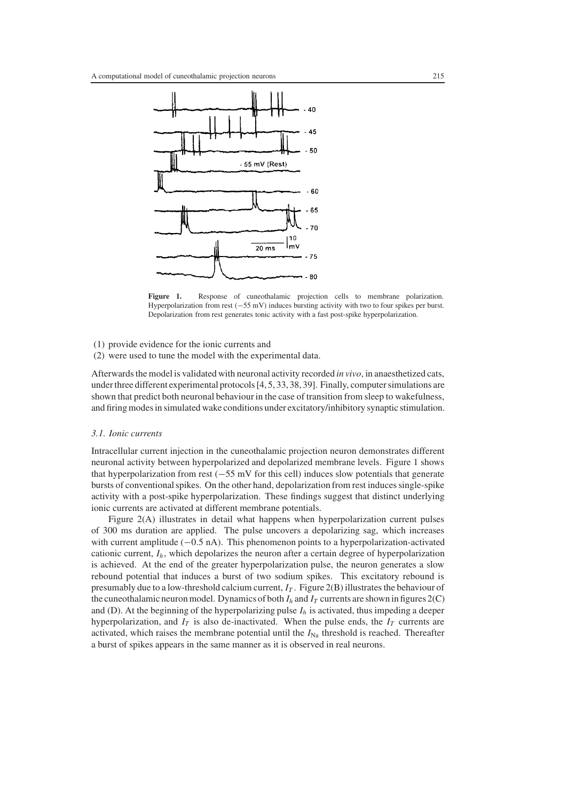

**Figure 1.** Response of cuneothalamic projection cells to membrane polarization. Hyperpolarization from rest (−55 mV) induces bursting activity with two to four spikes per burst. Depolarization from rest generates tonic activity with a fast post-spike hyperpolarization.

- (1) provide evidence for the ionic currents and
- (2) were used to tune the model with the experimental data.

Afterwards the model is validated with neuronal activity recorded *in vivo*, in anaesthetized cats, under three different experimental protocols [4, 5, 33, 38, 39]. Finally, computer simulations are shown that predict both neuronal behaviour in the case of transition from sleep to wakefulness, and firing modes in simulated wake conditions under excitatory/inhibitory synaptic stimulation.

#### *3.1. Ionic currents*

Intracellular current injection in the cuneothalamic projection neuron demonstrates different neuronal activity between hyperpolarized and depolarized membrane levels. Figure 1 shows that hyperpolarization from rest (−55 mV for this cell) induces slow potentials that generate bursts of conventional spikes. On the other hand, depolarization from rest induces single-spike activity with a post-spike hyperpolarization. These findings suggest that distinct underlying ionic currents are activated at different membrane potentials.

Figure 2(A) illustrates in detail what happens when hyperpolarization current pulses of 300 ms duration are applied. The pulse uncovers a depolarizing sag, which increases with current amplitude (−0.5 nA). This phenomenon points to a hyperpolarization-activated cationic current,  $I_h$ , which depolarizes the neuron after a certain degree of hyperpolarization is achieved. At the end of the greater hyperpolarization pulse, the neuron generates a slow rebound potential that induces a burst of two sodium spikes. This excitatory rebound is presumably due to a low-threshold calcium current,  $I_T$ . Figure 2(B) illustrates the behaviour of the cuneothalamic neuron model. Dynamics of both  $I_h$  and  $I_T$  currents are shown in figures  $2(C)$ and (D). At the beginning of the hyperpolarizing pulse  $I<sub>h</sub>$  is activated, thus impeding a deeper hyperpolarization, and  $I_T$  is also de-inactivated. When the pulse ends, the  $I_T$  currents are activated, which raises the membrane potential until the  $I_{\text{Na}}$  threshold is reached. Thereafter a burst of spikes appears in the same manner as it is observed in real neurons.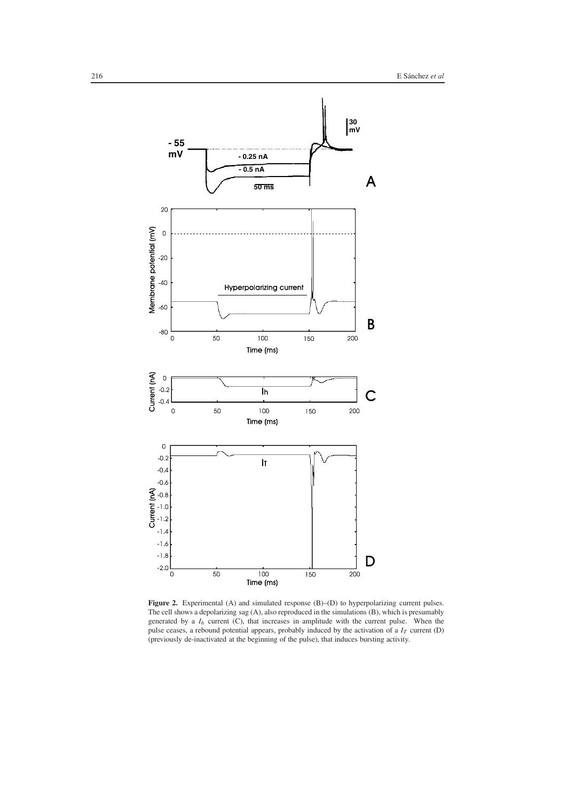

Figure 2. Experimental (A) and simulated response (B)–(D) to hyperpolarizing current pulses. The cell shows a depolarizing sag (A), also reproduced in the simulations (B), which is presumably generated by a *Ih* current (C), that increases in amplitude with the current pulse. When the pulse ceases, a rebound potential appears, probably induced by the activation of a  $I_T$  current (D) (previously de-inactivated at the beginning of the pulse), that induces bursting activity.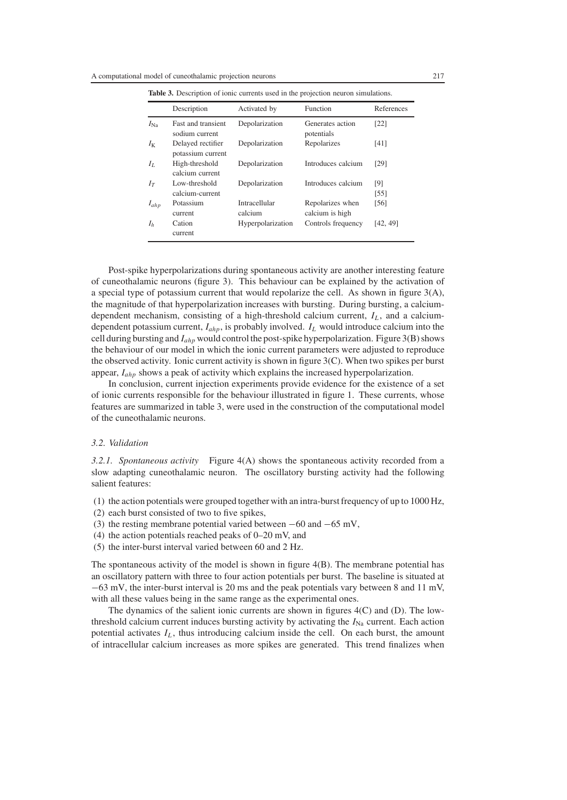|                | Description                                 | Activated by             | Function                            | References               |
|----------------|---------------------------------------------|--------------------------|-------------------------------------|--------------------------|
| $I_{\rm Na}$   | <b>Fast and transient</b><br>sodium current | Depolarization           | Generates action<br>potentials      | [22]                     |
| Iκ             | Delayed rectifier<br>potassium current      | Depolarization           | Repolarizes                         | [41]                     |
| Iτ.            | High-threshold<br>calcium current           | Depolarization           | Introduces calcium                  | [29]                     |
| Iт             | Low-threshold<br>calcium-current            | Depolarization           | Introduces calcium                  | [9]<br>$\left[55\right]$ |
| $I_{ahp}$      | Potassium<br>current                        | Intracellular<br>calcium | Repolarizes when<br>calcium is high | [56]                     |
| I <sub>h</sub> | Cation<br>current                           | Hyperpolarization        | Controls frequency                  | [42, 49]                 |

**Table 3.** Description of ionic currents used in the projection neuron simulations.

Post-spike hyperpolarizations during spontaneous activity are another interesting feature of cuneothalamic neurons (figure 3). This behaviour can be explained by the activation of a special type of potassium current that would repolarize the cell. As shown in figure  $3(A)$ , the magnitude of that hyperpolarization increases with bursting. During bursting, a calciumdependent mechanism, consisting of a high-threshold calcium current,  $I_L$ , and a calciumdependent potassium current, *Iahp*, is probably involved. *IL* would introduce calcium into the cell during bursting and *Iahp* would control the post-spike hyperpolarization. Figure 3(B) shows the behaviour of our model in which the ionic current parameters were adjusted to reproduce the observed activity. Ionic current activity is shown in figure  $3(C)$ . When two spikes per burst appear, *Iahp* shows a peak of activity which explains the increased hyperpolarization.

In conclusion, current injection experiments provide evidence for the existence of a set of ionic currents responsible for the behaviour illustrated in figure 1. These currents, whose features are summarized in table 3, were used in the construction of the computational model of the cuneothalamic neurons.

#### *3.2. Validation*

*3.2.1. Spontaneous activity* Figure 4(A) shows the spontaneous activity recorded from a slow adapting cuneothalamic neuron. The oscillatory bursting activity had the following salient features:

- (1) the action potentials were grouped together with an intra-burst frequency of up to 1000 Hz,
- (2) each burst consisted of two to five spikes,
- (3) the resting membrane potential varied between −60 and −65 mV,
- (4) the action potentials reached peaks of 0–20 mV, and
- (5) the inter-burst interval varied between 60 and 2 Hz.

The spontaneous activity of the model is shown in figure 4(B). The membrane potential has an oscillatory pattern with three to four action potentials per burst. The baseline is situated at −63 mV, the inter-burst interval is 20 ms and the peak potentials vary between 8 and 11 mV, with all these values being in the same range as the experimental ones.

The dynamics of the salient ionic currents are shown in figures 4(C) and (D). The lowthreshold calcium current induces bursting activity by activating the  $I_{\text{Na}}$  current. Each action potential activates  $I_L$ , thus introducing calcium inside the cell. On each burst, the amount of intracellular calcium increases as more spikes are generated. This trend finalizes when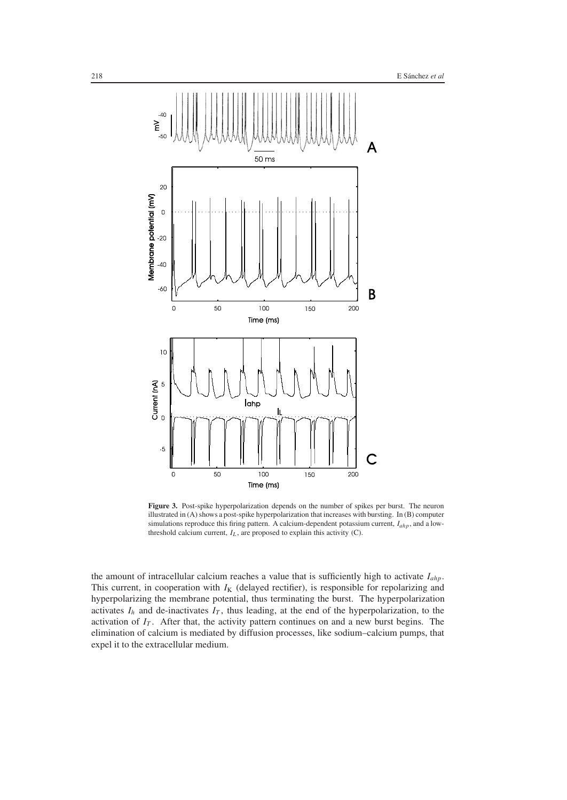

**Figure 3.** Post-spike hyperpolarization depends on the number of spikes per burst. The neuron illustrated in (A) shows a post-spike hyperpolarization that increases with bursting. In (B) computer simulations reproduce this firing pattern. A calcium-dependent potassium current, *Iahp*, and a lowthreshold calcium current,  $I_L$ , are proposed to explain this activity (C).

the amount of intracellular calcium reaches a value that is sufficiently high to activate *Iahp*. This current, in cooperation with  $I_K$  (delayed rectifier), is responsible for repolarizing and hyperpolarizing the membrane potential, thus terminating the burst. The hyperpolarization activates  $I_h$  and de-inactivates  $I_T$ , thus leading, at the end of the hyperpolarization, to the activation of  $I_T$ . After that, the activity pattern continues on and a new burst begins. The elimination of calcium is mediated by diffusion processes, like sodium–calcium pumps, that expel it to the extracellular medium.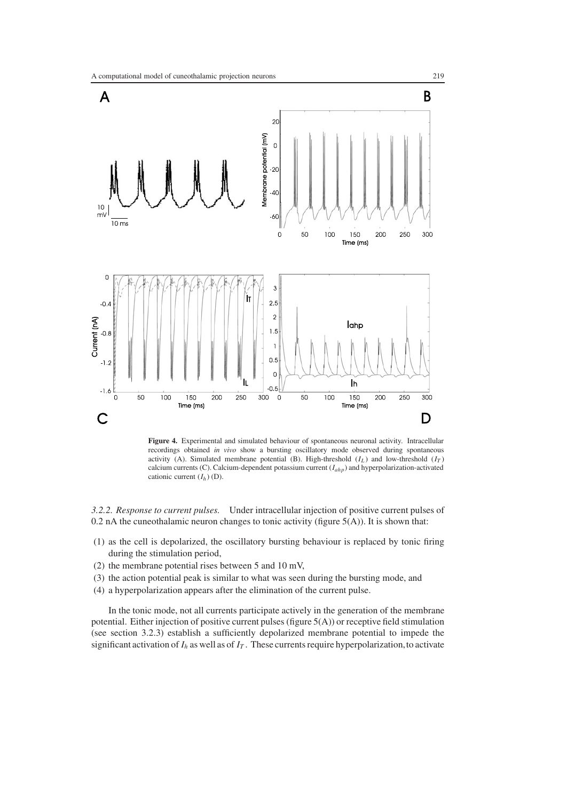

**Figure 4.** Experimental and simulated behaviour of spontaneous neuronal activity. Intracellular recordings obtained *in vivo* show a bursting oscillatory mode observed during spontaneous activity (A). Simulated membrane potential (B). High-threshold  $(I_L)$  and low-threshold  $(I_T)$ calcium currents (C). Calcium-dependent potassium current (*Iahp*) and hyperpolarization-activated cationic current  $(I_h)$  (D).

*3.2.2. Response to current pulses.* Under intracellular injection of positive current pulses of 0.2 nA the cuneothalamic neuron changes to tonic activity (figure  $5(A)$ ). It is shown that:

- (1) as the cell is depolarized, the oscillatory bursting behaviour is replaced by tonic firing during the stimulation period,
- (2) the membrane potential rises between 5 and 10 mV,
- (3) the action potential peak is similar to what was seen during the bursting mode, and
- (4) a hyperpolarization appears after the elimination of the current pulse.

In the tonic mode, not all currents participate actively in the generation of the membrane potential. Either injection of positive current pulses (figure 5(A)) or receptive field stimulation (see section 3.2.3) establish a sufficiently depolarized membrane potential to impede the significant activation of  $I_h$  as well as of  $I_T$ . These currents require hyperpolarization, to activate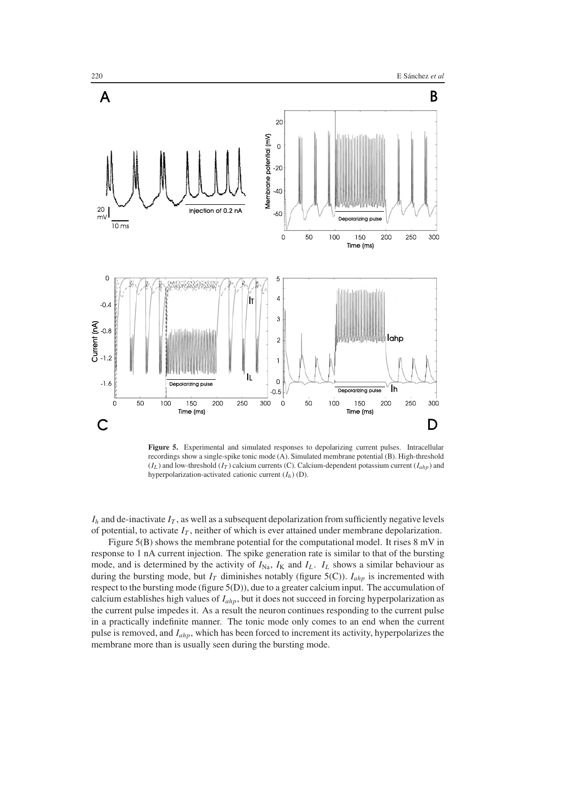

**Figure 5.** Experimental and simulated responses to depolarizing current pulses. Intracellular recordings show a single-spike tonic mode (A). Simulated membrane potential (B). High-threshold  $(I_L)$  and low-threshold  $(I_T)$  calcium currents (C). Calcium-dependent potassium current  $(I_{ahp})$  and hyperpolarization-activated cationic current (*Ih* ) (D).

 $I_h$  and de-inactivate  $I_T$ , as well as a subsequent depolarization from sufficiently negative levels of potential, to activate  $I_T$ , neither of which is ever attained under membrane depolarization.

Figure 5(B) shows the membrane potential for the computational model. It rises 8 mV in response to 1 nA current injection. The spike generation rate is similar to that of the bursting mode, and is determined by the activity of  $I_{\text{Na}}$ ,  $I_{\text{K}}$  and  $I_{\text{L}}$ .  $I_{\text{L}}$  shows a similar behaviour as during the bursting mode, but  $I_T$  diminishes notably (figure 5(C)).  $I_{ahp}$  is incremented with respect to the bursting mode (figure 5(D)), due to a greater calcium input. The accumulation of calcium establishes high values of *Iahp*, but it does not succeed in forcing hyperpolarization as the current pulse impedes it. As a result the neuron continues responding to the current pulse in a practically indefinite manner. The tonic mode only comes to an end when the current pulse is removed, and *Iahp*, which has been forced to increment its activity, hyperpolarizes the membrane more than is usually seen during the bursting mode.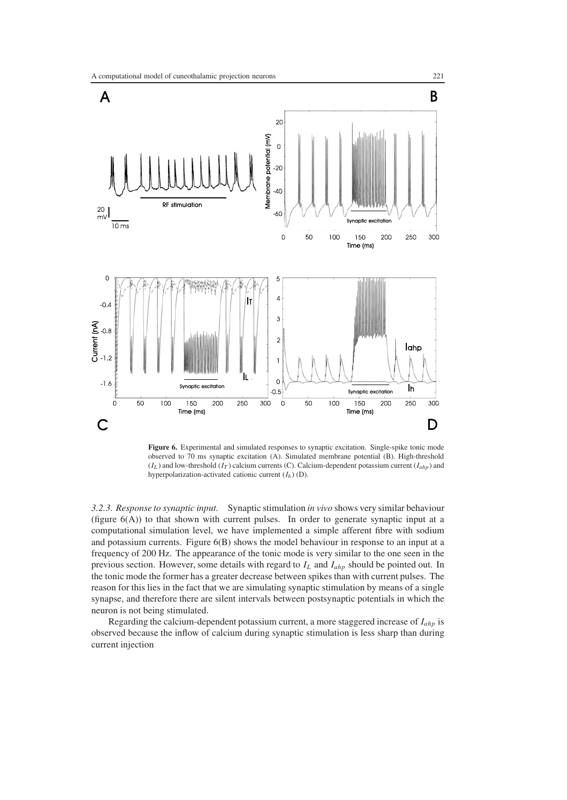

**Figure 6.** Experimental and simulated responses to synaptic excitation. Single-spike tonic mode observed to 70 ms synaptic excitation (A). Simulated membrane potential (B). High-threshold  $(I_L)$  and low-threshold  $(I_T)$  calcium currents (C). Calcium-dependent potassium current  $(I_{ahp})$  and hyperpolarization-activated cationic current (*Ih* ) (D).

*3.2.3. Response to synaptic input.* Synaptic stimulation *in vivo* shows very similar behaviour (figure  $6(A)$ ) to that shown with current pulses. In order to generate synaptic input at a computational simulation level, we have implemented a simple afferent fibre with sodium and potassium currents. Figure 6(B) shows the model behaviour in response to an input at a frequency of 200 Hz. The appearance of the tonic mode is very similar to the one seen in the previous section. However, some details with regard to *IL* and *Iahp* should be pointed out. In the tonic mode the former has a greater decrease between spikes than with current pulses. The reason for this lies in the fact that we are simulating synaptic stimulation by means of a single synapse, and therefore there are silent intervals between postsynaptic potentials in which the neuron is not being stimulated.

Regarding the calcium-dependent potassium current, a more staggered increase of *Iahp* is observed because the inflow of calcium during synaptic stimulation is less sharp than during current injection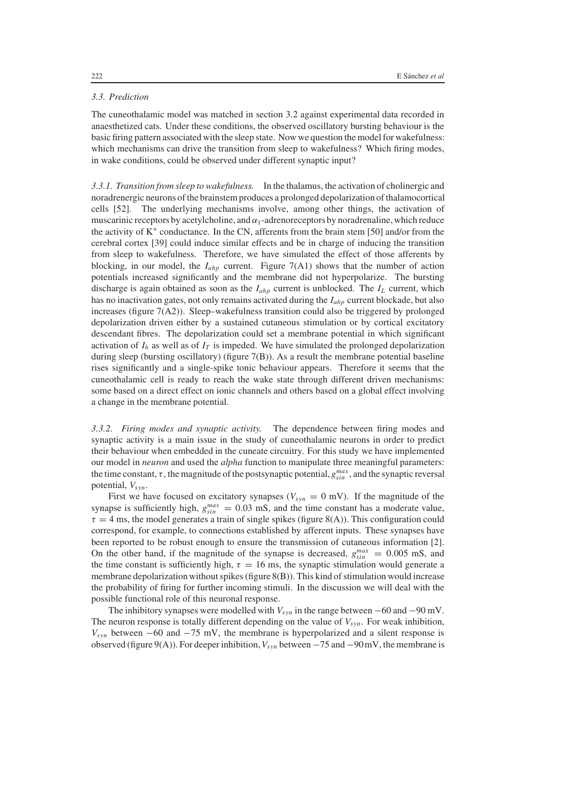# *3.3. Prediction*

The cuneothalamic model was matched in section 3.2 against experimental data recorded in anaesthetized cats. Under these conditions, the observed oscillatory bursting behaviour is the basic firing pattern associated with the sleep state. Now we question the model for wakefulness: which mechanisms can drive the transition from sleep to wakefulness? Which firing modes, in wake conditions, could be observed under different synaptic input?

*3.3.1. Transition from sleep to wakefulness.* In the thalamus, the activation of cholinergic and noradrenergic neurons of the brainstem produces a prolonged depolarization of thalamocortical cells [52]. The underlying mechanisms involve, among other things, the activation of muscarinic receptors by acetylcholine, and  $\alpha_1$ -adrenoreceptors by noradrenaline, which reduce the activity of  $K^+$  conductance. In the CN, afferents from the brain stem [50] and/or from the cerebral cortex [39] could induce similar effects and be in charge of inducing the transition from sleep to wakefulness. Therefore, we have simulated the effect of those afferents by blocking, in our model, the *Iahp* current. Figure 7(A1) shows that the number of action potentials increased significantly and the membrane did not hyperpolarize. The bursting discharge is again obtained as soon as the *Iahp* current is unblocked. The *IL* current, which has no inactivation gates, not only remains activated during the *Iahp* current blockade, but also increases (figure 7(A2)). Sleep–wakefulness transition could also be triggered by prolonged depolarization driven either by a sustained cutaneous stimulation or by cortical excitatory descendant fibres. The depolarization could set a membrane potential in which significant activation of  $I_h$  as well as of  $I_T$  is impeded. We have simulated the prolonged depolarization during sleep (bursting oscillatory) (figure  $7(B)$ ). As a result the membrane potential baseline rises significantly and a single-spike tonic behaviour appears. Therefore it seems that the cuneothalamic cell is ready to reach the wake state through different driven mechanisms: some based on a direct effect on ionic channels and others based on a global effect involving a change in the membrane potential.

*3.3.2. Firing modes and synaptic activity.* The dependence between firing modes and synaptic activity is a main issue in the study of cuneothalamic neurons in order to predict their behaviour when embedded in the cuneate circuitry. For this study we have implemented our model in *neuron* and used the *alpha* function to manipulate three meaningful parameters: the time constant,  $\tau$ , the magnitude of the postsynaptic potential,  $g_{sin}^{max}$ , and the synaptic reversal potential,  $V_{syn}$ .

First we have focused on excitatory synapses ( $V_{syn} = 0$  mV). If the magnitude of the synapse is sufficiently high,  $g_{sin}^{max} = 0.03$  mS, and the time constant has a moderate value,  $\tau = 4$  ms, the model generates a train of single spikes (figure 8(A)). This configuration could correspond, for example, to connections established by afferent inputs. These synapses have been reported to be robust enough to ensure the transmission of cutaneous information [2]. On the other hand, if the magnitude of the synapse is decreased,  $g_{\text{sin}}^{\text{max}} = 0.005 \text{ mS}$ , and the time constant is sufficiently high,  $\tau = 16$  ms, the synaptic stimulation would generate a membrane depolarization without spikes (figure 8(B)). This kind of stimulation would increase the probability of firing for further incoming stimuli. In the discussion we will deal with the possible functional role of this neuronal response.

The inhibitory synapses were modelled with  $V_{syn}$  in the range between  $-60$  and  $-90$  mV. The neuron response is totally different depending on the value of *Vsyn*. For weak inhibition,  $V_{syn}$  between  $-60$  and  $-75$  mV, the membrane is hyperpolarized and a silent response is observed (figure 9(A)). For deeper inhibition,*Vsyn* between −75 and −90mV, the membrane is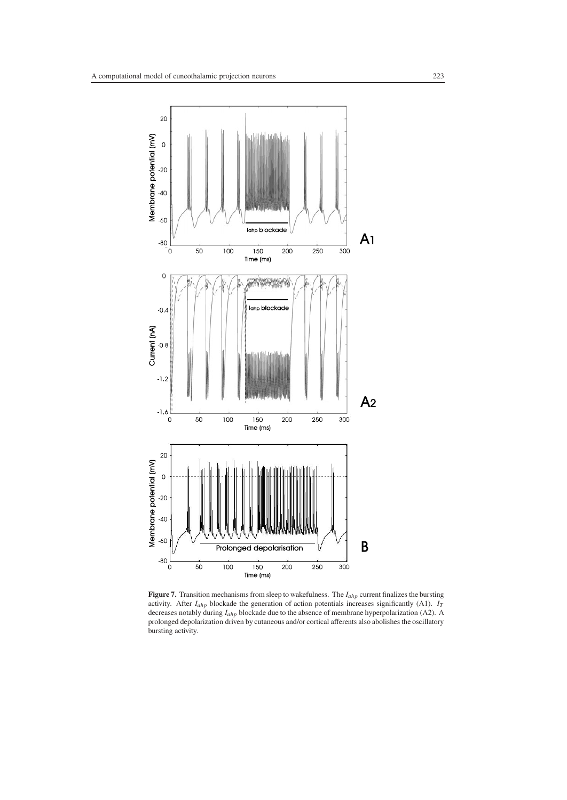

**Figure 7.** Transition mechanisms from sleep to wakefulness. The *Iahp* current finalizes the bursting activity. After *Iahp* blockade the generation of action potentials increases significantly (A1). *IT* decreases notably during *Iahp* blockade due to the absence of membrane hyperpolarization (A2). A prolonged depolarization driven by cutaneous and/or cortical afferents also abolishes the oscillatory bursting activity.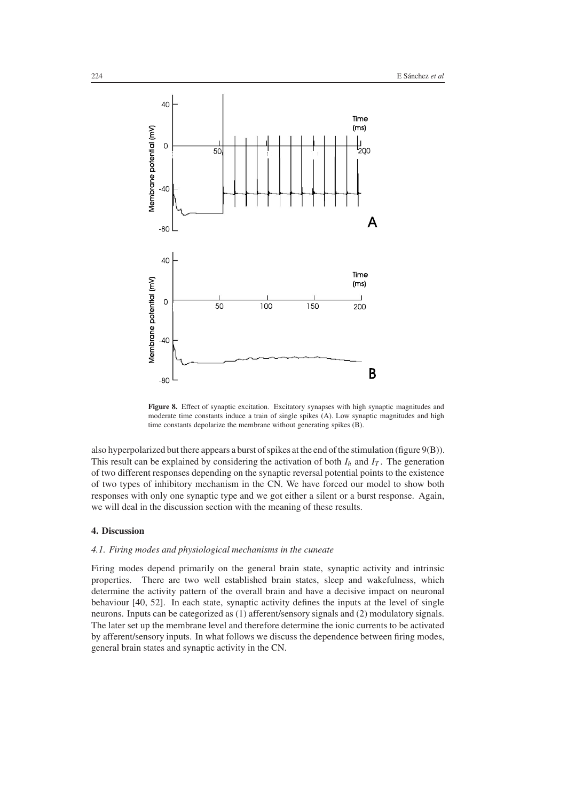

**Figure 8.** Effect of synaptic excitation. Excitatory synapses with high synaptic magnitudes and moderate time constants induce a train of single spikes (A). Low synaptic magnitudes and high time constants depolarize the membrane without generating spikes (B).

also hyperpolarized but there appears a burst of spikes at the end of the stimulation (figure 9(B)). This result can be explained by considering the activation of both  $I_h$  and  $I_T$ . The generation of two different responses depending on the synaptic reversal potential points to the existence of two types of inhibitory mechanism in the CN. We have forced our model to show both responses with only one synaptic type and we got either a silent or a burst response. Again, we will deal in the discussion section with the meaning of these results.

# **4. Discussion**

# *4.1. Firing modes and physiological mechanisms in the cuneate*

Firing modes depend primarily on the general brain state, synaptic activity and intrinsic properties. There are two well established brain states, sleep and wakefulness, which determine the activity pattern of the overall brain and have a decisive impact on neuronal behaviour [40, 52]. In each state, synaptic activity defines the inputs at the level of single neurons. Inputs can be categorized as (1) afferent/sensory signals and (2) modulatory signals. The later set up the membrane level and therefore determine the ionic currents to be activated by afferent/sensory inputs. In what follows we discuss the dependence between firing modes, general brain states and synaptic activity in the CN.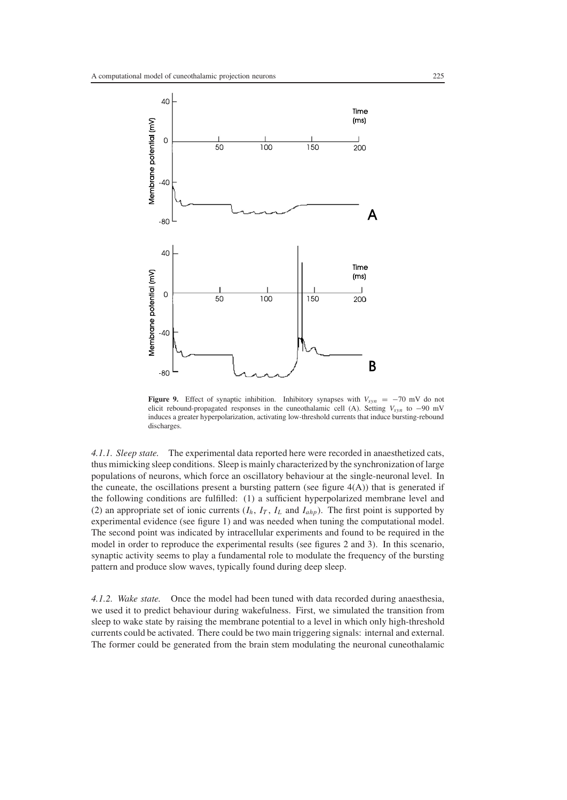

**Figure 9.** Effect of synaptic inhibition. Inhibitory synapses with  $V_{syn} = -70$  mV do not elicit rebound-propagated responses in the cuneothalamic cell (A). Setting  $V_{syn}$  to −90 mV induces a greater hyperpolarization, activating low-threshold currents that induce bursting-rebound discharges.

*4.1.1. Sleep state.* The experimental data reported here were recorded in anaesthetized cats, thus mimicking sleep conditions. Sleep is mainly characterized by the synchronization of large populations of neurons, which force an oscillatory behaviour at the single-neuronal level. In the cuneate, the oscillations present a bursting pattern (see figure  $4(A)$ ) that is generated if the following conditions are fulfilled: (1) a sufficient hyperpolarized membrane level and (2) an appropriate set of ionic currents  $(I_h, I_T, I_L$  and  $I_{ahp}$ ). The first point is supported by experimental evidence (see figure 1) and was needed when tuning the computational model. The second point was indicated by intracellular experiments and found to be required in the model in order to reproduce the experimental results (see figures 2 and 3). In this scenario, synaptic activity seems to play a fundamental role to modulate the frequency of the bursting pattern and produce slow waves, typically found during deep sleep.

*4.1.2. Wake state.* Once the model had been tuned with data recorded during anaesthesia, we used it to predict behaviour during wakefulness. First, we simulated the transition from sleep to wake state by raising the membrane potential to a level in which only high-threshold currents could be activated. There could be two main triggering signals: internal and external. The former could be generated from the brain stem modulating the neuronal cuneothalamic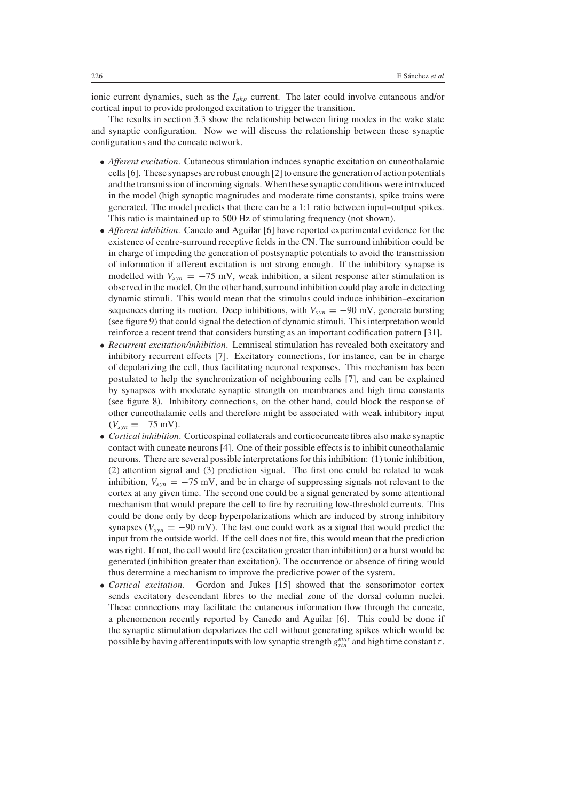ionic current dynamics, such as the *Iahp* current. The later could involve cutaneous and/or cortical input to provide prolonged excitation to trigger the transition.

The results in section 3.3 show the relationship between firing modes in the wake state and synaptic configuration. Now we will discuss the relationship between these synaptic configurations and the cuneate network.

- *Afferent excitation*. Cutaneous stimulation induces synaptic excitation on cuneothalamic cells [6]. These synapses are robust enough [2] to ensure the generation of action potentials and the transmission of incoming signals. When these synaptic conditions were introduced in the model (high synaptic magnitudes and moderate time constants), spike trains were generated. The model predicts that there can be a 1:1 ratio between input–output spikes. This ratio is maintained up to 500 Hz of stimulating frequency (not shown).
- *Afferent inhibition*. Canedo and Aguilar [6] have reported experimental evidence for the existence of centre-surround receptive fields in the CN. The surround inhibition could be in charge of impeding the generation of postsynaptic potentials to avoid the transmission of information if afferent excitation is not strong enough. If the inhibitory synapse is modelled with  $V_{syn} = -75$  mV, weak inhibition, a silent response after stimulation is observed in the model. On the other hand, surround inhibition could play a role in detecting dynamic stimuli. This would mean that the stimulus could induce inhibition–excitation sequences during its motion. Deep inhibitions, with  $V_{syn} = -90$  mV, generate bursting (see figure 9) that could signal the detection of dynamic stimuli. This interpretation would reinforce a recent trend that considers bursting as an important codification pattern [31].
- *Recurrent excitation/inhibition*. Lemniscal stimulation has revealed both excitatory and inhibitory recurrent effects [7]. Excitatory connections, for instance, can be in charge of depolarizing the cell, thus facilitating neuronal responses. This mechanism has been postulated to help the synchronization of neighbouring cells [7], and can be explained by synapses with moderate synaptic strength on membranes and high time constants (see figure 8). Inhibitory connections, on the other hand, could block the response of other cuneothalamic cells and therefore might be associated with weak inhibitory input  $(V_{syn} = -75$  mV).
- *Cortical inhibition*. Corticospinal collaterals and corticocuneate fibres also make synaptic contact with cuneate neurons [4]. One of their possible effects is to inhibit cuneothalamic neurons. There are several possible interpretations for this inhibition: (1) tonic inhibition, (2) attention signal and (3) prediction signal. The first one could be related to weak inhibition,  $V_{syn} = -75$  mV, and be in charge of suppressing signals not relevant to the cortex at any given time. The second one could be a signal generated by some attentional mechanism that would prepare the cell to fire by recruiting low-threshold currents. This could be done only by deep hyperpolarizations which are induced by strong inhibitory synapses ( $V_{syn} = -90$  mV). The last one could work as a signal that would predict the input from the outside world. If the cell does not fire, this would mean that the prediction was right. If not, the cell would fire (excitation greater than inhibition) or a burst would be generated (inhibition greater than excitation). The occurrence or absence of firing would thus determine a mechanism to improve the predictive power of the system.
- *Cortical excitation*. Gordon and Jukes [15] showed that the sensorimotor cortex sends excitatory descendant fibres to the medial zone of the dorsal column nuclei. These connections may facilitate the cutaneous information flow through the cuneate, a phenomenon recently reported by Canedo and Aguilar [6]. This could be done if the synaptic stimulation depolarizes the cell without generating spikes which would be possible by having afferent inputs with low synaptic strength  $g_{sin}^{max}$  and high time constant  $\tau$ .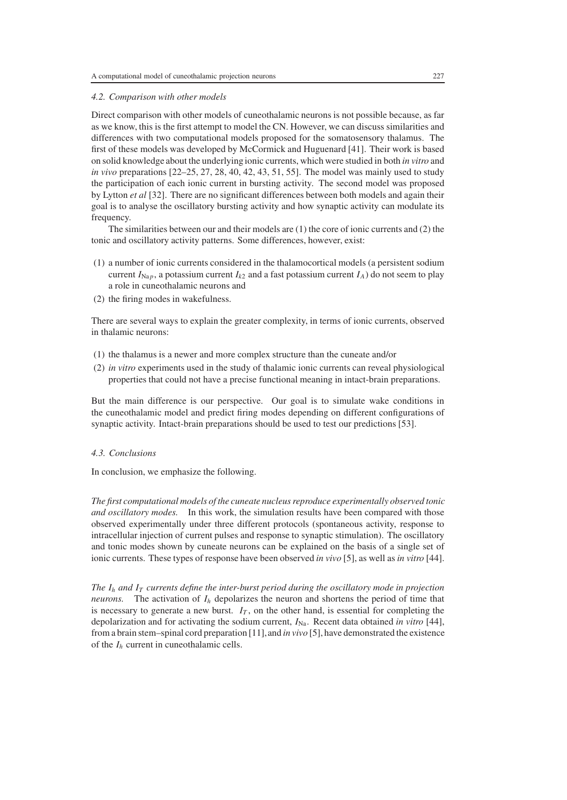# *4.2. Comparison with other models*

Direct comparison with other models of cuneothalamic neurons is not possible because, as far as we know, this is the first attempt to model the CN. However, we can discuss similarities and differences with two computational models proposed for the somatosensory thalamus. The first of these models was developed by McCormick and Huguenard [41]. Their work is based on solid knowledge about the underlying ionic currents, which were studied in both *in vitro* and *in vivo* preparations [22–25, 27, 28, 40, 42, 43, 51, 55]. The model was mainly used to study the participation of each ionic current in bursting activity. The second model was proposed by Lytton *et al* [32]. There are no significant differences between both models and again their goal is to analyse the oscillatory bursting activity and how synaptic activity can modulate its frequency.

The similarities between our and their models are (1) the core of ionic currents and (2) the tonic and oscillatory activity patterns. Some differences, however, exist:

- (1) a number of ionic currents considered in the thalamocortical models (a persistent sodium current  $I_{\text{Na }p}$ , a potassium current  $I_{k2}$  and a fast potassium current  $I_A$ ) do not seem to play a role in cuneothalamic neurons and
- (2) the firing modes in wakefulness.

There are several ways to explain the greater complexity, in terms of ionic currents, observed in thalamic neurons:

- (1) the thalamus is a newer and more complex structure than the cuneate and/or
- (2) *in vitro* experiments used in the study of thalamic ionic currents can reveal physiological properties that could not have a precise functional meaning in intact-brain preparations.

But the main difference is our perspective. Our goal is to simulate wake conditions in the cuneothalamic model and predict firing modes depending on different configurations of synaptic activity. Intact-brain preparations should be used to test our predictions [53].

#### *4.3. Conclusions*

In conclusion, we emphasize the following.

*The first computational models of the cuneate nucleus reproduce experimentally observed tonic and oscillatory modes.* In this work, the simulation results have been compared with those observed experimentally under three different protocols (spontaneous activity, response to intracellular injection of current pulses and response to synaptic stimulation). The oscillatory and tonic modes shown by cuneate neurons can be explained on the basis of a single set of ionic currents. These types of response have been observed *in vivo* [5], as well as *in vitro* [44].

*The*  $I_h$  *and*  $I_T$  *currents define the inter-burst period during the oscillatory mode in projection neurons.* The activation of  $I_h$  depolarizes the neuron and shortens the period of time that is necessary to generate a new burst.  $I_T$ , on the other hand, is essential for completing the depolarization and for activating the sodium current,  $I_{\text{Na}}$ . Recent data obtained *in vitro* [44], from a brain stem–spinal cord preparation [11],and *in vivo* [5], have demonstrated the existence of the *Ih* current in cuneothalamic cells.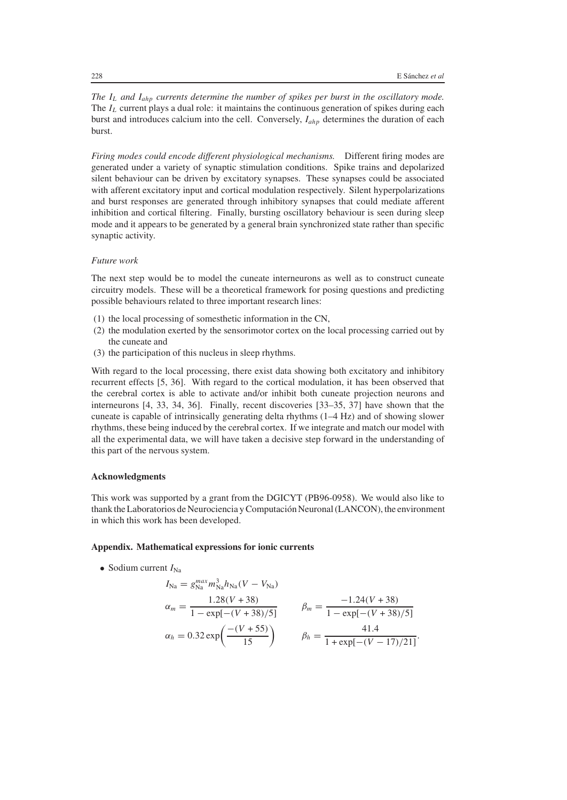*The IL and Iahp currents determine the number of spikes per burst in the oscillatory mode.* The  $I_L$  current plays a dual role: it maintains the continuous generation of spikes during each burst and introduces calcium into the cell. Conversely, *Iahp* determines the duration of each burst.

*Firing modes could encode different physiological mechanisms.* Different firing modes are generated under a variety of synaptic stimulation conditions. Spike trains and depolarized silent behaviour can be driven by excitatory synapses. These synapses could be associated with afferent excitatory input and cortical modulation respectively. Silent hyperpolarizations and burst responses are generated through inhibitory synapses that could mediate afferent inhibition and cortical filtering. Finally, bursting oscillatory behaviour is seen during sleep mode and it appears to be generated by a general brain synchronized state rather than specific synaptic activity.

# *Future work*

The next step would be to model the cuneate interneurons as well as to construct cuneate circuitry models. These will be a theoretical framework for posing questions and predicting possible behaviours related to three important research lines:

- (1) the local processing of somesthetic information in the CN,
- (2) the modulation exerted by the sensorimotor cortex on the local processing carried out by the cuneate and
- (3) the participation of this nucleus in sleep rhythms.

With regard to the local processing, there exist data showing both excitatory and inhibitory recurrent effects [5, 36]. With regard to the cortical modulation, it has been observed that the cerebral cortex is able to activate and/or inhibit both cuneate projection neurons and interneurons [4, 33, 34, 36]. Finally, recent discoveries [33–35, 37] have shown that the cuneate is capable of intrinsically generating delta rhythms (1–4 Hz) and of showing slower rhythms, these being induced by the cerebral cortex. If we integrate and match our model with all the experimental data, we will have taken a decisive step forward in the understanding of this part of the nervous system.

## **Acknowledgments**

This work was supported by a grant from the DGICYT (PB96-0958). We would also like to thank the Laboratorios de Neurociencia y Computación Neuronal (LANCON), the environment in which this work has been developed.

## **Appendix. Mathematical expressions for ionic currents**

• Sodium current  $I_{\text{Na}}$ 

$$
I_{\text{Na}} = g_{\text{Na}}^{max} m_{\text{Na}}^3 h_{\text{Na}} (V - V_{\text{Na}})
$$
  
\n
$$
\alpha_m = \frac{1.28(V + 38)}{1 - \exp[-(V + 38)/5]} \qquad \beta_m = \frac{-1.24(V + 38)}{1 - \exp[-(V + 38)/5]}
$$
  
\n
$$
\alpha_h = 0.32 \exp\left(\frac{-(V + 55)}{15}\right) \qquad \beta_h = \frac{41.4}{1 + \exp[-(V - 17)/21]}.
$$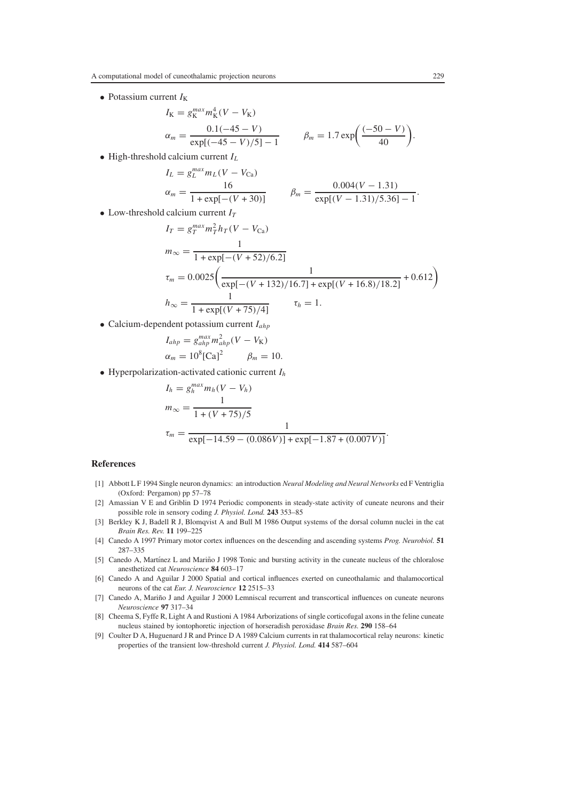• Potassium current  $I_K$ 

$$
I_{K} = g_{K}^{max} m_{K}^{4} (V - V_{K})
$$
  
\n
$$
\alpha_{m} = \frac{0.1(-45 - V)}{\exp[(-45 - V)/5] - 1}
$$
  $\beta_{m} = 1.7 \exp\left(\frac{(-50 - V)}{40}\right).$ 

• High-threshold calcium current *IL*

$$
I_L = g_L^{max} m_L (V - V_{Ca})
$$
  
\n
$$
\alpha_m = \frac{16}{1 + \exp[-(V + 30)]}
$$
 
$$
\beta_m = \frac{0.004(V - 1.31)}{\exp[(V - 1.31)/5.36] - 1}.
$$

• Low-threshold calcium current  $I_T$ 

$$
I_T = g_T^{max} m_T^2 h_T (V - V_{Ca})
$$
  
\n
$$
m_{\infty} = \frac{1}{1 + \exp[-(V + 52)/6.2]}
$$
  
\n
$$
\tau_m = 0.0025 \left( \frac{1}{\exp[-(V + 132)/16.7] + \exp[(V + 16.8)/18.2]} + 0.612 \right)
$$
  
\n
$$
h_{\infty} = \frac{1}{1 + \exp[(V + 75)/4]}
$$
  
\n
$$
\tau_h = 1.
$$

• Calcium-dependent potassium current *Iahp*

$$
I_{ahp} = g_{ahp}^{max} m_{ahp}^2 (V - V_{\rm K})
$$
  

$$
\alpha_m = 10^8 [\text{Ca}]^2 \qquad \beta_m = 10.
$$

• Hyperpolarization-activated cationic current *Ih*

$$
I_h = g_h^{max} m_h (V - V_h)
$$
  
\n
$$
m_{\infty} = \frac{1}{1 + (V + 75)/5}
$$
  
\n
$$
\tau_m = \frac{1}{\exp[-14.59 - (0.086V)] + \exp[-1.87 + (0.007V)]}.
$$

### **References**

- [1] Abbott L F 1994 Single neuron dynamics: an introduction *Neural Modeling and Neural Networks* ed F Ventriglia (Oxford: Pergamon) pp 57–78
- [2] Amassian V E and Griblin D 1974 Periodic components in steady-state activity of cuneate neurons and their possible role in sensory coding *J. Physiol. Lond.* **243** 353–85
- [3] Berkley K J, Badell R J, Blomqvist A and Bull M 1986 Output systems of the dorsal column nuclei in the cat *Brain Res. Rev.* **11** 199–225
- [4] Canedo A 1997 Primary motor cortex influences on the descending and ascending systems *Prog. Neurobiol.* **51** 287–335
- [5] Canedo A, Martínez L and Mariño J 1998 Tonic and bursting activity in the cuneate nucleus of the chloralose anesthetized cat *Neuroscience* **84** 603–17
- [6] Canedo A and Aguilar J 2000 Spatial and cortical influences exerted on cuneothalamic and thalamocortical neurons of the cat *Eur. J. Neuroscience* **12** 2515–33
- [7] Canedo A, Mariño J and Aguilar J 2000 Lemniscal recurrent and transcortical influences on cuneate neurons *Neuroscience* **97** 317–34
- [8] Cheema S, Fyffe R, Light A and Rustioni A 1984 Arborizations of single corticofugal axons in the feline cuneate nucleus stained by iontophoretic injection of horseradish peroxidase *Brain Res.* **290** 158–64
- [9] Coulter D A, Huguenard J R and Prince D A 1989 Calcium currents in rat thalamocortical relay neurons: kinetic properties of the transient low-threshold current *J. Physiol. Lond.* **414** 587–604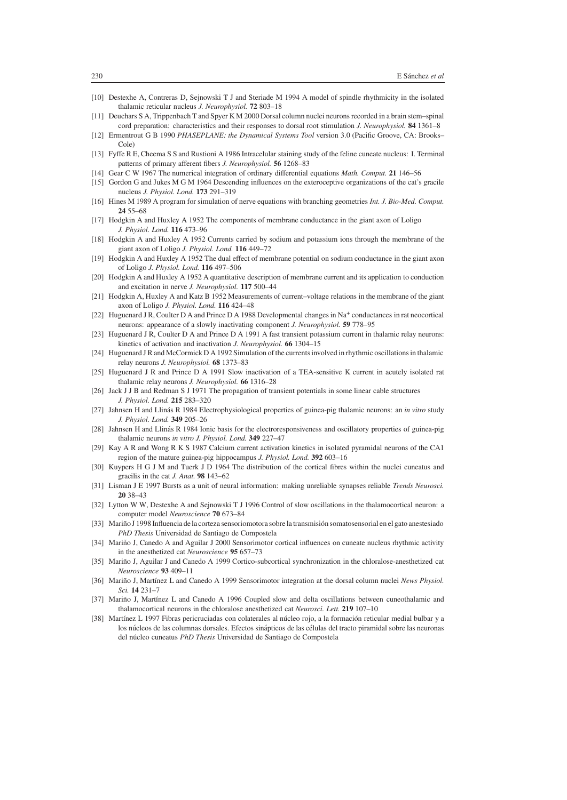- [10] Destexhe A, Contreras D, Sejnowski T J and Steriade M 1994 A model of spindle rhythmicity in the isolated thalamic reticular nucleus *J. Neurophysiol.* **72** 803–18
- [11] Deuchars S A, Trippenbach T and Spyer K M 2000 Dorsal column nuclei neurons recorded in a brain stem–spinal cord preparation: characteristics and their responses to dorsal root stimulation *J. Neurophysiol.* **84** 1361–8
- [12] Ermentrout G B 1990 *PHASEPLANE: the Dynamical Systems Tool* version 3.0 (Pacific Groove, CA: Brooks– Cole)
- [13] Fyffe R E, Cheema S S and Rustioni A 1986 Intracelular staining study of the feline cuneate nucleus: I. Terminal patterns of primary afferent fibers *J. Neurophysiol.* **56** 1268–83
- [14] Gear C W 1967 The numerical integration of ordinary differential equations *Math. Comput.* **21** 146–56
- [15] Gordon G and Jukes M G M 1964 Descending influences on the exteroceptive organizations of the cat's gracile nucleus *J. Physiol. Lond.* **173** 291–319
- [16] Hines M 1989 A program for simulation of nerve equations with branching geometries *Int. J. Bio-Med. Comput.* **24** 55–68
- [17] Hodgkin A and Huxley A 1952 The components of membrane conductance in the giant axon of Loligo *J. Physiol. Lond.* **116** 473–96
- [18] Hodgkin A and Huxley A 1952 Currents carried by sodium and potassium ions through the membrane of the giant axon of Loligo *J. Physiol. Lond.* **116** 449–72
- [19] Hodgkin A and Huxley A 1952 The dual effect of membrane potential on sodium conductance in the giant axon of Loligo *J. Physiol. Lond.* **116** 497–506
- [20] Hodgkin A and Huxley A 1952 A quantitative description of membrane current and its application to conduction and excitation in nerve *J. Neurophysiol.* **117** 500–44
- [21] Hodgkin A, Huxley A and Katz B 1952 Measurements of current–voltage relations in the membrane of the giant axon of Loligo *J. Physiol. Lond.* **116** 424–48
- [22] Huguenard J R, Coulter D A and Prince D A 1988 Developmental changes in  $Na<sup>+</sup>$  conductances in rat neocortical neurons: appearance of a slowly inactivating component *J. Neurophysiol.* **59** 778–95
- [23] Huguenard J R, Coulter D A and Prince D A 1991 A fast transient potassium current in thalamic relay neurons: kinetics of activation and inactivation *J. Neurophysiol.* **66** 1304–15
- [24] Huguenard J R and McCormick D A 1992 Simulation of the currents involved in rhythmic oscillations in thalamic relay neurons *J. Neurophysiol.* **68** 1373–83
- [25] Huguenard J R and Prince D A 1991 Slow inactivation of a TEA-sensitive K current in acutely isolated rat thalamic relay neurons *J. Neurophysiol.* **66** 1316–28
- [26] Jack J J B and Redman S J 1971 The propagation of transient potentials in some linear cable structures *J. Physiol. Lond.* **215** 283–320
- [27] Jahnsen H and Llinás R 1984 Electrophysiological properties of guinea-pig thalamic neurons: an *in vitro* study *J. Physiol. Lond.* **349** 205–26
- [28] Jahnsen H and Llinás R 1984 Ionic basis for the electroresponsiveness and oscillatory properties of guinea-pig thalamic neurons *in vitro J. Physiol. Lond.* **349** 227–47
- [29] Kay A R and Wong R K S 1987 Calcium current activation kinetics in isolated pyramidal neurons of the CA1 region of the mature guinea-pig hippocampus *J. Physiol. Lond.* **392** 603–16
- [30] Kuypers H G J M and Tuerk J D 1964 The distribution of the cortical fibres within the nuclei cuneatus and gracilis in the cat *J. Anat.* **98** 143–62
- [31] Lisman J E 1997 Bursts as a unit of neural information: making unreliable synapses reliable *Trends Neurosci.* **20** 38–43
- [32] Lytton W W, Destexhe A and Sejnowski T J 1996 Control of slow oscillations in the thalamocortical neuron: a computer model *Neuroscience* **70** 673–84
- [33] Mariño J 1998 Influencia de la corteza sensoriomotora sobre la transmisión somato sensorial en el gato anestesiado *PhD Thesis* Universidad de Santiago de Compostela
- [34] Mariño J, Canedo A and Aguilar J 2000 Sensorimotor cortical influences on cuneate nucleus rhythmic activity in the anesthetized cat *Neuroscience* **95** 657–73
- [35] Mariño J, Aguilar J and Canedo A 1999 Cortico-subcortical synchronization in the chloralose-anesthetized cat *Neuroscience* **93** 409–11
- [36] Mariño J, Martínez L and Canedo A 1999 Sensorimotor integration at the dorsal column nuclei *News Physiol*. *Sci.* **14** 231–7
- [37] Mariño J, Martínez L and Canedo A 1996 Coupled slow and delta oscillations between cuneothalamic and thalamocortical neurons in the chloralose anesthetized cat *Neurosci. Lett.* **219** 107–10
- [38] Martínez L 1997 Fibras pericruciadas con colaterales al núcleo rojo, a la formación reticular medial bulbar y a los núcleos de las columnas dorsales. Efectos sinápticos de las células del tracto piramidal sobre las neuronas del núcleo cuneatus *PhD Thesis* Universidad de Santiago de Compostela